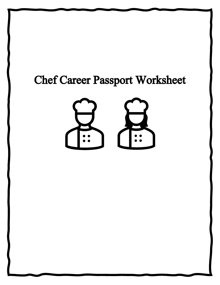# Chef Career Passport Worksheet

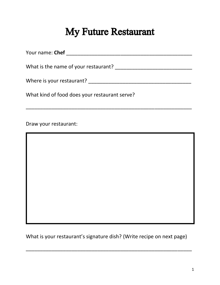## My Future Restaurant

| Your name: <b>Chef</b>               |  |
|--------------------------------------|--|
| What is the name of your restaurant? |  |
|                                      |  |
| Where is your restaurant?            |  |

\_\_\_\_\_\_\_\_\_\_\_\_\_\_\_\_\_\_\_\_\_\_\_\_\_\_\_\_\_\_\_\_\_\_\_\_\_\_\_\_\_\_\_\_\_\_\_\_\_\_\_\_\_\_\_\_\_\_

What kind of food does your restaurant serve?

Draw your restaurant:

What is your restaurant's signature dish? (Write recipe on next page)

\_\_\_\_\_\_\_\_\_\_\_\_\_\_\_\_\_\_\_\_\_\_\_\_\_\_\_\_\_\_\_\_\_\_\_\_\_\_\_\_\_\_\_\_\_\_\_\_\_\_\_\_\_\_\_\_\_\_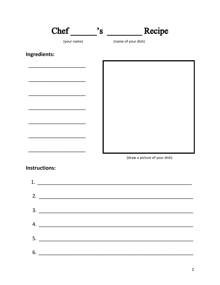

(draw a picture of your dish)

#### **Instructions:**

| 2. $\overline{\phantom{a}}$ |  |
|-----------------------------|--|
|                             |  |
| 4.                          |  |
|                             |  |
|                             |  |
|                             |  |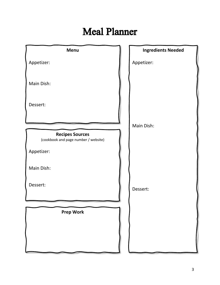## Meal Planner

| <b>Menu</b>                                                    | <b>Ingredients Needed</b> |
|----------------------------------------------------------------|---------------------------|
| Appetizer:                                                     | Appetizer:                |
|                                                                |                           |
| Main Dish:                                                     |                           |
| Dessert:                                                       |                           |
|                                                                |                           |
|                                                                | Main Dish:                |
| <b>Recipes Sources</b><br>(cookbook and page number / website) |                           |
| Appetizer:                                                     |                           |
| Main Dish:                                                     |                           |
| Dessert:                                                       | Dessert:                  |
|                                                                |                           |
| <b>Prep Work</b>                                               |                           |
|                                                                |                           |
|                                                                |                           |
|                                                                |                           |
|                                                                |                           |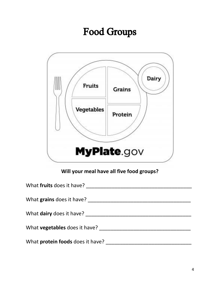# Food Groups



#### **Will your meal have all five food groups?**

| What fruits does it have?            |
|--------------------------------------|
|                                      |
| What grains does it have?            |
|                                      |
| What <b>dairy</b> does it have?      |
| What <b>vegetables</b> does it have? |
|                                      |
| What protein foods does it have?     |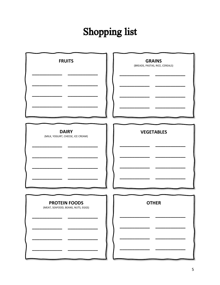# **Shopping list**

| <b>FRUITS</b>                                              | <b>GRAINS</b><br>(BREADS, PASTAS, RICE, CEREALS) |
|------------------------------------------------------------|--------------------------------------------------|
| <b>DAIRY</b><br>(MILK, YOGURT, CHEESE, ICE CREAM)          | <b>VEGETABLES</b>                                |
| <b>PROTEIN FOODS</b><br>(MEAT, SEAFOOD, BEANS, NUTS, EGGS) | <b>OTHER</b>                                     |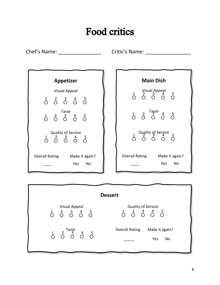## Food critics

Chef's Name: \_\_\_\_\_\_\_\_\_\_\_\_\_\_\_ Critic's Name: \_\_\_\_\_\_\_\_\_\_\_\_\_\_\_\_



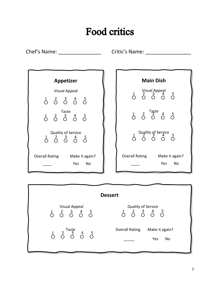## Food critics

Chef's Name: \_\_\_\_\_\_\_\_\_\_\_\_\_\_\_ Critic's Name: \_\_\_\_\_\_\_\_\_\_\_\_\_\_\_\_



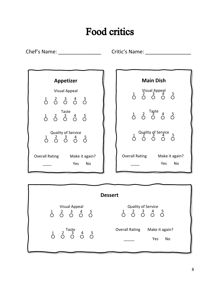## Food critics

Chef's Name: \_\_\_\_\_\_\_\_\_\_\_\_\_\_\_ Critic's Name: \_\_\_\_\_\_\_\_\_\_\_\_\_\_\_\_



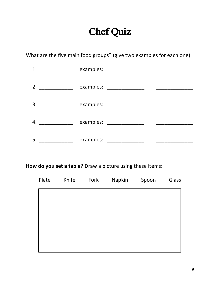## Chef Quiz

What are the five main food groups? (give two examples for each one)

| 1. |           |                          |  |
|----|-----------|--------------------------|--|
| 2. |           | examples: ______________ |  |
| 3. |           |                          |  |
| 4. | examples: |                          |  |
| 5. | examples: |                          |  |

**How do you set a table?** Draw a picture using these items:

| Plate | Knife | Fork | Napkin | Spoon | Glass |
|-------|-------|------|--------|-------|-------|
|       |       |      |        |       |       |
|       |       |      |        |       |       |
|       |       |      |        |       |       |
|       |       |      |        |       |       |
|       |       |      |        |       |       |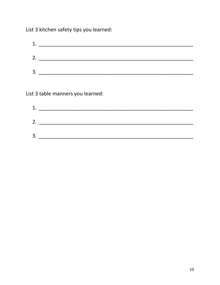List 3 kitchen safety tips you learned:

| 1. |  |  |
|----|--|--|
| 2. |  |  |
| 3. |  |  |

List 3 table manners you learned:

| 1. |  |  |  |
|----|--|--|--|
| 2. |  |  |  |
| 3. |  |  |  |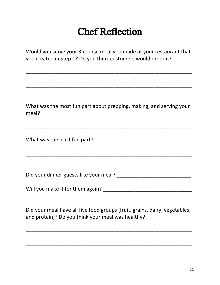# Chef Reflection

Would you serve your 3-course meal you made at your restaurant that you created in Step 1? Do you think customers would order it?

\_\_\_\_\_\_\_\_\_\_\_\_\_\_\_\_\_\_\_\_\_\_\_\_\_\_\_\_\_\_\_\_\_\_\_\_\_\_\_\_\_\_\_\_\_\_\_\_\_\_\_\_\_\_\_\_\_\_

\_\_\_\_\_\_\_\_\_\_\_\_\_\_\_\_\_\_\_\_\_\_\_\_\_\_\_\_\_\_\_\_\_\_\_\_\_\_\_\_\_\_\_\_\_\_\_\_\_\_\_\_\_\_\_\_\_\_

What was the most fun part about prepping, making, and serving your meal?

\_\_\_\_\_\_\_\_\_\_\_\_\_\_\_\_\_\_\_\_\_\_\_\_\_\_\_\_\_\_\_\_\_\_\_\_\_\_\_\_\_\_\_\_\_\_\_\_\_\_\_\_\_\_\_\_\_\_

What was the least fun part?

Did your dinner guests like your meal? \_\_\_\_\_\_\_\_\_\_\_\_\_\_\_\_\_\_\_\_\_\_\_\_\_\_

\_\_\_\_\_\_\_\_\_\_\_\_\_\_\_\_\_\_\_\_\_\_\_\_\_\_\_\_\_\_\_\_\_\_\_\_\_\_\_\_\_\_\_\_\_\_\_\_\_\_\_\_\_\_\_\_\_\_

Will you make it for them again? \_\_\_\_\_\_\_\_\_\_\_\_\_\_\_\_\_\_\_\_\_\_\_\_\_\_\_\_\_\_\_

Did your meal have all five food groups (fruit, grains, dairy, vegetables, and protein)? Do you think your meal was healthy?

\_\_\_\_\_\_\_\_\_\_\_\_\_\_\_\_\_\_\_\_\_\_\_\_\_\_\_\_\_\_\_\_\_\_\_\_\_\_\_\_\_\_\_\_\_\_\_\_\_\_\_\_\_\_\_\_\_\_

\_\_\_\_\_\_\_\_\_\_\_\_\_\_\_\_\_\_\_\_\_\_\_\_\_\_\_\_\_\_\_\_\_\_\_\_\_\_\_\_\_\_\_\_\_\_\_\_\_\_\_\_\_\_\_\_\_\_